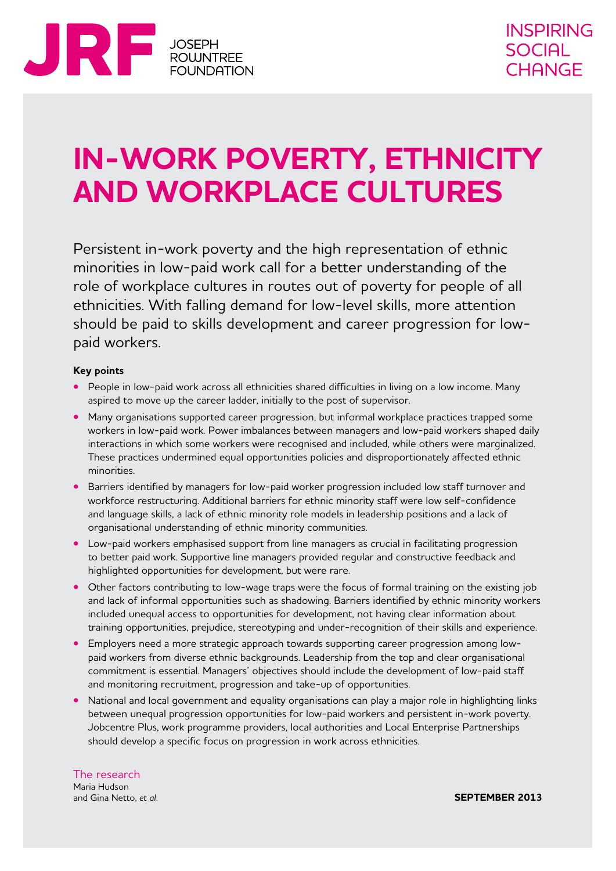

# **In-work poverty, ethnicity and workplace cultures**

Persistent in-work poverty and the high representation of ethnic minorities in low-paid work call for a better understanding of the role of workplace cultures in routes out of poverty for people of all ethnicities. With falling demand for low-level skills, more attention should be paid to skills development and career progression for lowpaid workers.

#### **Key points**

- **•**  People in low-paid work across all ethnicities shared difficulties in living on a low income. Many aspired to move up the career ladder, initially to the post of supervisor.
- **•** Many organisations supported career progression, but informal workplace practices trapped some workers in low-paid work. Power imbalances between managers and low-paid workers shaped daily interactions in which some workers were recognised and included, while others were marginalized. These practices undermined equal opportunities policies and disproportionately affected ethnic minorities.
- **•** Barriers identified by managers for low-paid worker progression included low staff turnover and workforce restructuring. Additional barriers for ethnic minority staff were low self-confidence and language skills, a lack of ethnic minority role models in leadership positions and a lack of organisational understanding of ethnic minority communities.
- Low-paid workers emphasised support from line managers as crucial in facilitating progression to better paid work. Supportive line managers provided regular and constructive feedback and highlighted opportunities for development, but were rare.
- Other factors contributing to low-wage traps were the focus of formal training on the existing job and lack of informal opportunities such as shadowing. Barriers identified by ethnic minority workers included unequal access to opportunities for development, not having clear information about training opportunities, prejudice, stereotyping and under-recognition of their skills and experience.
- **•**  Employers need a more strategic approach towards supporting career progression among lowpaid workers from diverse ethnic backgrounds. Leadership from the top and clear organisational commitment is essential. Managers' objectives should include the development of low-paid staff and monitoring recruitment, progression and take-up of opportunities.
- National and local government and equality organisations can play a major role in highlighting links between unequal progression opportunities for low-paid workers and persistent in-work poverty. Jobcentre Plus, work programme providers, local authorities and Local Enterprise Partnerships should develop a specific focus on progression in work across ethnicities.

The research Maria Hudson and Gina Netto, *et al.*

**september 2013**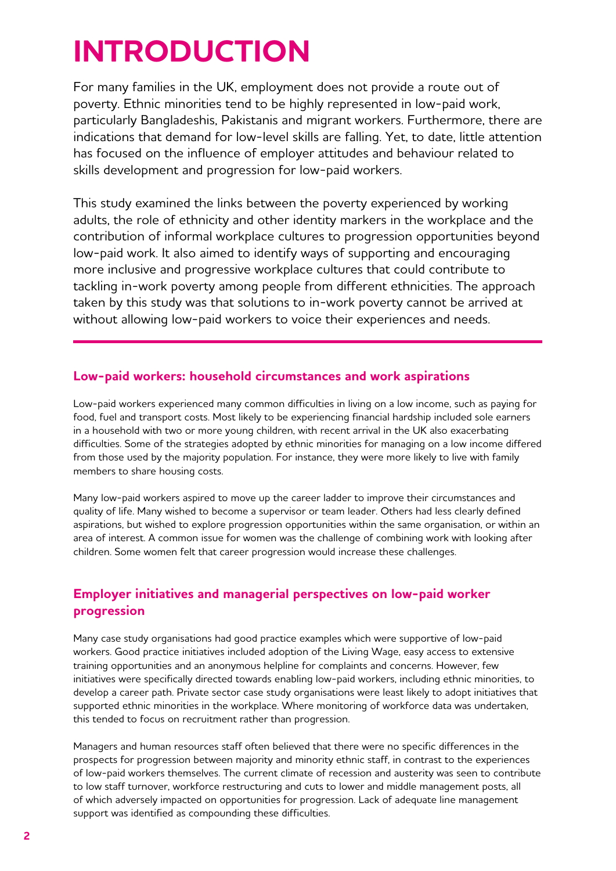# **Introduction**

For many families in the UK, employment does not provide a route out of poverty. Ethnic minorities tend to be highly represented in low-paid work, particularly Bangladeshis, Pakistanis and migrant workers. Furthermore, there are indications that demand for low-level skills are falling. Yet, to date, little attention has focused on the influence of employer attitudes and behaviour related to skills development and progression for low-paid workers.

This study examined the links between the poverty experienced by working adults, the role of ethnicity and other identity markers in the workplace and the contribution of informal workplace cultures to progression opportunities beyond low-paid work. It also aimed to identify ways of supporting and encouraging more inclusive and progressive workplace cultures that could contribute to tackling in-work poverty among people from different ethnicities. The approach taken by this study was that solutions to in-work poverty cannot be arrived at without allowing low-paid workers to voice their experiences and needs.

## **Low-paid workers: household circumstances and work aspirations**

Low-paid workers experienced many common difficulties in living on a low income, such as paying for food, fuel and transport costs. Most likely to be experiencing financial hardship included sole earners in a household with two or more young children, with recent arrival in the UK also exacerbating difficulties. Some of the strategies adopted by ethnic minorities for managing on a low income differed from those used by the majority population. For instance, they were more likely to live with family members to share housing costs.

Many low-paid workers aspired to move up the career ladder to improve their circumstances and quality of life. Many wished to become a supervisor or team leader. Others had less clearly defined aspirations, but wished to explore progression opportunities within the same organisation, or within an area of interest. A common issue for women was the challenge of combining work with looking after children. Some women felt that career progression would increase these challenges.

## **Employer initiatives and managerial perspectives on low-paid worker progression**

Many case study organisations had good practice examples which were supportive of low-paid workers. Good practice initiatives included adoption of the Living Wage, easy access to extensive training opportunities and an anonymous helpline for complaints and concerns. However, few initiatives were specifically directed towards enabling low-paid workers, including ethnic minorities, to develop a career path. Private sector case study organisations were least likely to adopt initiatives that supported ethnic minorities in the workplace. Where monitoring of workforce data was undertaken, this tended to focus on recruitment rather than progression.

Managers and human resources staff often believed that there were no specific differences in the prospects for progression between majority and minority ethnic staff, in contrast to the experiences of low-paid workers themselves. The current climate of recession and austerity was seen to contribute to low staff turnover, workforce restructuring and cuts to lower and middle management posts, all of which adversely impacted on opportunities for progression. Lack of adequate line management support was identified as compounding these difficulties.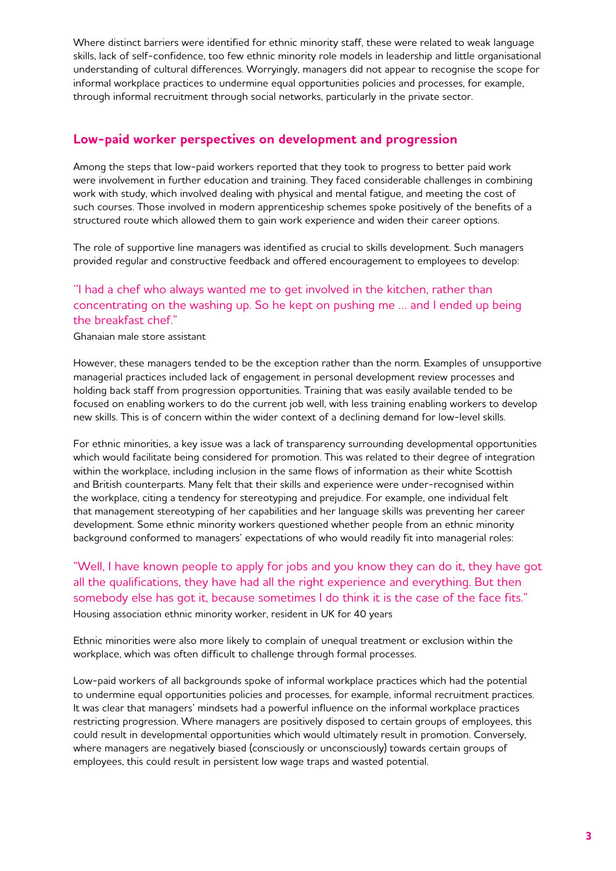Where distinct barriers were identified for ethnic minority staff, these were related to weak language skills, lack of self-confidence, too few ethnic minority role models in leadership and little organisational understanding of cultural differences. Worryingly, managers did not appear to recognise the scope for informal workplace practices to undermine equal opportunities policies and processes, for example, through informal recruitment through social networks, particularly in the private sector.

#### **Low-paid worker perspectives on development and progression**

Among the steps that low-paid workers reported that they took to progress to better paid work were involvement in further education and training. They faced considerable challenges in combining work with study, which involved dealing with physical and mental fatigue, and meeting the cost of such courses. Those involved in modern apprenticeship schemes spoke positively of the benefits of a structured route which allowed them to gain work experience and widen their career options.

The role of supportive line managers was identified as crucial to skills development. Such managers provided regular and constructive feedback and offered encouragement to employees to develop:

### ''I had a chef who always wanted me to get involved in the kitchen, rather than concentrating on the washing up. So he kept on pushing me … and I ended up being the breakfast chef."

#### Ghanaian male store assistant

However, these managers tended to be the exception rather than the norm. Examples of unsupportive managerial practices included lack of engagement in personal development review processes and holding back staff from progression opportunities. Training that was easily available tended to be focused on enabling workers to do the current job well, with less training enabling workers to develop new skills. This is of concern within the wider context of a declining demand for low-level skills.

For ethnic minorities, a key issue was a lack of transparency surrounding developmental opportunities which would facilitate being considered for promotion. This was related to their degree of integration within the workplace, including inclusion in the same flows of information as their white Scottish and British counterparts. Many felt that their skills and experience were under-recognised within the workplace, citing a tendency for stereotyping and prejudice. For example, one individual felt that management stereotyping of her capabilities and her language skills was preventing her career development. Some ethnic minority workers questioned whether people from an ethnic minority background conformed to managers' expectations of who would readily fit into managerial roles:

"Well, I have known people to apply for jobs and you know they can do it, they have got all the qualifications, they have had all the right experience and everything. But then somebody else has got it, because sometimes I do think it is the case of the face fits." Housing association ethnic minority worker, resident in UK for 40 years

Ethnic minorities were also more likely to complain of unequal treatment or exclusion within the workplace, which was often difficult to challenge through formal processes.

Low-paid workers of all backgrounds spoke of informal workplace practices which had the potential to undermine equal opportunities policies and processes, for example, informal recruitment practices. It was clear that managers' mindsets had a powerful influence on the informal workplace practices restricting progression. Where managers are positively disposed to certain groups of employees, this could result in developmental opportunities which would ultimately result in promotion. Conversely, where managers are negatively biased (consciously or unconsciously) towards certain groups of employees, this could result in persistent low wage traps and wasted potential.